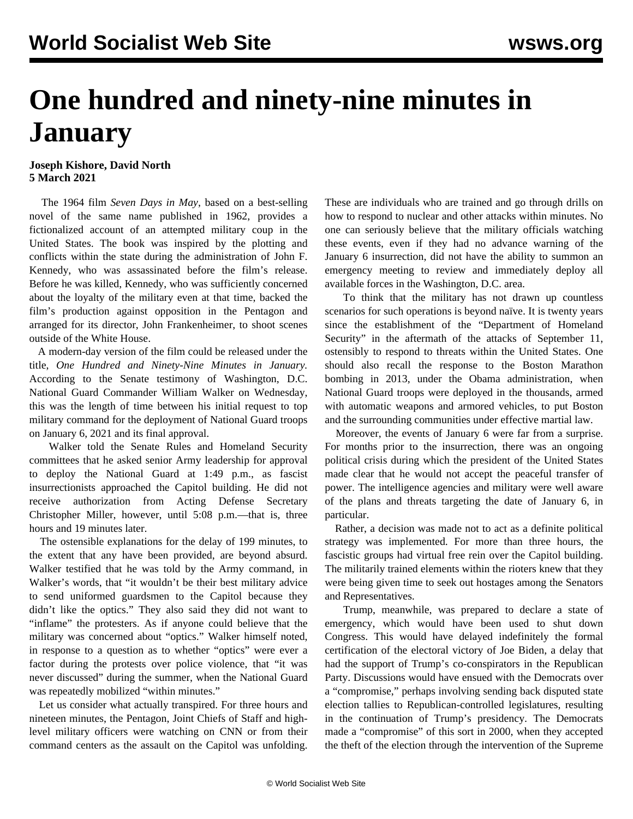## **One hundred and ninety-nine minutes in January**

## **Joseph Kishore, David North 5 March 2021**

 The 1964 film *Seven Days in May*, based on a best-selling novel of the same name published in 1962, provides a fictionalized account of an attempted military coup in the United States. The book was inspired by the plotting and conflicts within the state during the administration of John F. Kennedy, who was assassinated before the film's release. Before he was killed, Kennedy, who was sufficiently concerned about the loyalty of the military even at that time, backed the film's production against opposition in the Pentagon and arranged for its director, John Frankenheimer, to shoot scenes outside of the White House.

 A modern-day version of the film could be released under the title, *One Hundred and Ninety-Nine Minutes in January.* According to the Senate testimony of Washington, D.C. National Guard Commander William Walker on Wednesday, this was the length of time between his initial request to top military command for the deployment of National Guard troops on January 6, 2021 and its final approval.

 Walker told the Senate Rules and Homeland Security committees that he asked senior Army leadership for approval to deploy the National Guard at 1:49 p.m., as fascist insurrectionists approached the Capitol building. He did not receive authorization from Acting Defense Secretary Christopher Miller, however, until 5:08 p.m.—that is, three hours and 19 minutes later.

 The ostensible explanations for the delay of 199 minutes, to the extent that any have been provided, are beyond absurd. Walker testified that he was told by the Army command, in Walker's words, that "it wouldn't be their best military advice to send uniformed guardsmen to the Capitol because they didn't like the optics." They also said they did not want to "inflame" the protesters. As if anyone could believe that the military was concerned about "optics." Walker himself noted, in response to a question as to whether "optics" were ever a factor during the protests over police violence, that "it was never discussed" during the summer, when the National Guard was repeatedly mobilized "within minutes."

 Let us consider what actually transpired. For three hours and nineteen minutes, the Pentagon, Joint Chiefs of Staff and highlevel military officers were watching on CNN or from their command centers as the assault on the Capitol was unfolding.

These are individuals who are trained and go through drills on how to respond to nuclear and other attacks within minutes. No one can seriously believe that the military officials watching these events, even if they had no advance warning of the January 6 insurrection, did not have the ability to summon an emergency meeting to review and immediately deploy all available forces in the Washington, D.C. area.

 To think that the military has not drawn up countless scenarios for such operations is beyond naïve. It is twenty years since the establishment of the "Department of Homeland Security" in the aftermath of the attacks of September 11, ostensibly to respond to threats within the United States. One should also recall the response to the Boston Marathon bombing in 2013, under the Obama administration, when National Guard troops were deployed in the thousands, armed with automatic weapons and armored vehicles, to put Boston and the surrounding communities under effective martial law.

 Moreover, the events of January 6 were far from a surprise. For months prior to the insurrection, there was an ongoing political crisis during which the president of the United States made clear that he would not accept the peaceful transfer of power. The intelligence agencies and military were well aware of the plans and threats targeting the date of January 6, in particular.

 Rather, a decision was made not to act as a definite political strategy was implemented. For more than three hours, the fascistic groups had virtual free rein over the Capitol building. The militarily trained elements within the rioters knew that they were being given time to seek out hostages among the Senators and Representatives.

 Trump, meanwhile, was prepared to declare a state of emergency, which would have been used to shut down Congress. This would have delayed indefinitely the formal certification of the electoral victory of Joe Biden, a delay that had the support of Trump's co-conspirators in the Republican Party. Discussions would have ensued with the Democrats over a "compromise," perhaps involving sending back disputed state election tallies to Republican-controlled legislatures, resulting in the continuation of Trump's presidency. The Democrats made a "compromise" of this sort in 2000, when they accepted the theft of the election through the intervention of the Supreme